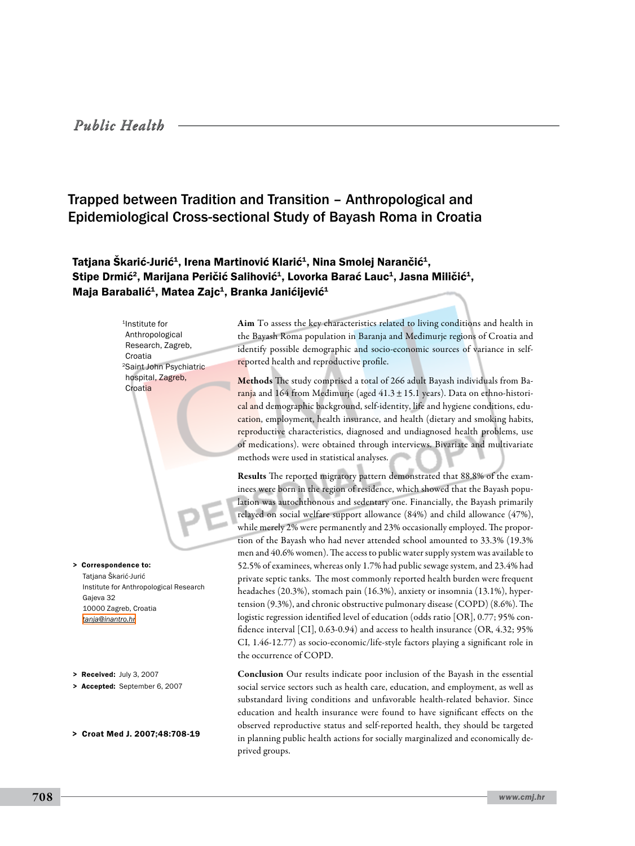# *Public Health*

# Trapped between Tradition and Transition – Anthropological and Epidemiological Cross-sectional Study of Bayash Roma in Croatia

## Tatjana Škarić-Jurić<sup>1</sup>, Irena Martinović Klarić<sup>1</sup>, Nina Smolej Narančić<sup>1</sup>, Stipe Drmić<sup>2</sup>, Marijana Peričić Salihović<sup>1</sup>, Lovorka Barać Lauc<sup>1</sup>, Jasna Miličić<sup>1</sup>, Maja Barabalić<sup>1</sup>, Matea Zajc<sup>1</sup>, Branka Janićijević<sup>1</sup>

<sup>1</sup>Institute for Anthropological Research, Zagreb, Croatia 2Saint John Psychiatric hospital, Zagreb, Croatia

Tatiana Škarić-Jurić Institute for Anthropological Research Gajeva 32 10000 Zagreb, Croatia *[tanja@inantro.hr](mailto: tanja@inantro.hr )* > Correspondence to:

- > Received: July 3, 2007
- > Accepted: September 6, 2007
- > Croat Med J. 2007;48:708-19

Aim To assess the key characteristics related to living conditions and health in the Bayash Roma population in Baranja and Međimurje regions of Croatia and identify possible demographic and socio-economic sources of variance in selfreported health and reproductive profile.

Methods The study comprised a total of 266 adult Bayash individuals from Baranja and 164 from Međimurje (aged  $41.3 \pm 15.1$  years). Data on ethno-historical and demographic background, self-identity, life and hygiene conditions, education, employment, health insurance, and health (dietary and smoking habits, reproductive characteristics, diagnosed and undiagnosed health problems, use of medications). were obtained through interviews. Bivariate and multivariate methods were used in statistical analyses.

Results The reported migratory pattern demonstrated that 88.8% of the examinees were born in the region of residence, which showed that the Bayash population was autochthonous and sedentary one. Financially, the Bayash primarily relayed on social welfare support allowance (84%) and child allowance (47%), while merely 2% were permanently and 23% occasionally employed. The proportion of the Bayash who had never attended school amounted to 33.3% (19.3% men and 40.6% women). The access to public water supply system was available to 52.5% of examinees, whereas only 1.7% had public sewage system, and 23.4% had private septic tanks. The most commonly reported health burden were frequent headaches (20.3%), stomach pain (16.3%), anxiety or insomnia (13.1%), hypertension (9.3%), and chronic obstructive pulmonary disease (COPD) (8.6%). The logistic regression identified level of education (odds ratio [OR], 0.77; 95% confidence interval [CI], 0.63-0.94) and access to health insurance (OR, 4.32; 95% CI, 1.46-12.77) as socio-economic/life-style factors playing a significant role in the occurrence of COPD.

Conclusion Our results indicate poor inclusion of the Bayash in the essential social service sectors such as health care, education, and employment, as well as substandard living conditions and unfavorable health-related behavior. Since education and health insurance were found to have significant effects on the observed reproductive status and self-reported health, they should be targeted in planning public health actions for socially marginalized and economically deprived groups.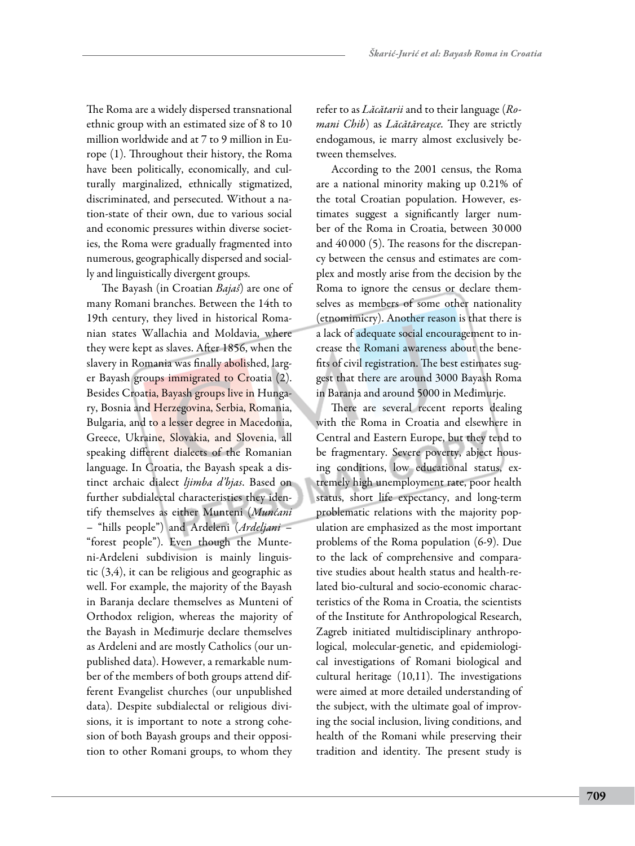The Roma are a widely dispersed transnational ethnic group with an estimated size of 8 to 10 million worldwide and at 7 to 9 million in Europe (1). Throughout their history, the Roma have been politically, economically, and culturally marginalized, ethnically stigmatized, discriminated, and persecuted. Without a nation-state of their own, due to various social and economic pressures within diverse societies, the Roma were gradually fragmented into numerous, geographically dispersed and socially and linguistically divergent groups.

The Bayash (in Croatian *Bajaš*) are one of many Romani branches. Between the 14th to 19th century, they lived in historical Romanian states Wallachia and Moldavia, where they were kept as slaves. After 1856, when the slavery in Romania was finally abolished, larger Bayash groups immigrated to Croatia (2). Besides Croatia, Bayash groups live in Hungary, Bosnia and Herzegovina, Serbia, Romania, Bulgaria, and to a lesser degree in Macedonia, Greece, Ukraine, Slovakia, and Slovenia, all speaking different dialects of the Romanian language. In Croatia, the Bayash speak a distinct archaic dialect *ljimba d'bjas*. Based on further subdialectal characteristics they identify themselves as either Munteni (*Munćani* – "hills people") and Ardeleni (*Ardeljani* – "forest people"). Even though the Munteni-Ardeleni subdivision is mainly linguistic (3,4), it can be religious and geographic as well. For example, the majority of the Bayash in Baranja declare themselves as Munteni of Orthodox religion, whereas the majority of the Bayash in Međimurje declare themselves as Ardeleni and are mostly Catholics (our unpublished data). However, a remarkable number of the members of both groups attend different Evangelist churches (our unpublished data). Despite subdialectal or religious divisions, it is important to note a strong cohesion of both Bayash groups and their opposition to other Romani groups, to whom they refer to as *Lăcătarii* and to their language (*Romani Chib*) as *Lăcătăreaşce.* They are strictly endogamous, ie marry almost exclusively between themselves.

According to the 2001 census, the Roma are a national minority making up 0.21% of the total Croatian population. However, estimates suggest a significantly larger number of the Roma in Croatia, between 30 000 and 40 000 (5). The reasons for the discrepancy between the census and estimates are complex and mostly arise from the decision by the Roma to ignore the census or declare themselves as members of some other nationality (etnomimicry). Another reason is that there is a lack of adequate social encouragement to increase the Romani awareness about the benefits of civil registration. The best estimates suggest that there are around 3000 Bayash Roma in Baranja and around 5000 in Međimurje.

There are several recent reports dealing with the Roma in Croatia and elsewhere in Central and Eastern Europe, but they tend to be fragmentary. Severe poverty, abject housing conditions, low educational status, extremely high unemployment rate, poor health status, short life expectancy, and long-term problematic relations with the majority population are emphasized as the most important problems of the Roma population (6-9). Due to the lack of comprehensive and comparative studies about health status and health-related bio-cultural and socio-economic characteristics of the Roma in Croatia, the scientists of the Institute for Anthropological Research, Zagreb initiated multidisciplinary anthropological, molecular-genetic, and epidemiological investigations of Romani biological and cultural heritage (10,11). The investigations were aimed at more detailed understanding of the subject, with the ultimate goal of improving the social inclusion, living conditions, and health of the Romani while preserving their tradition and identity. The present study is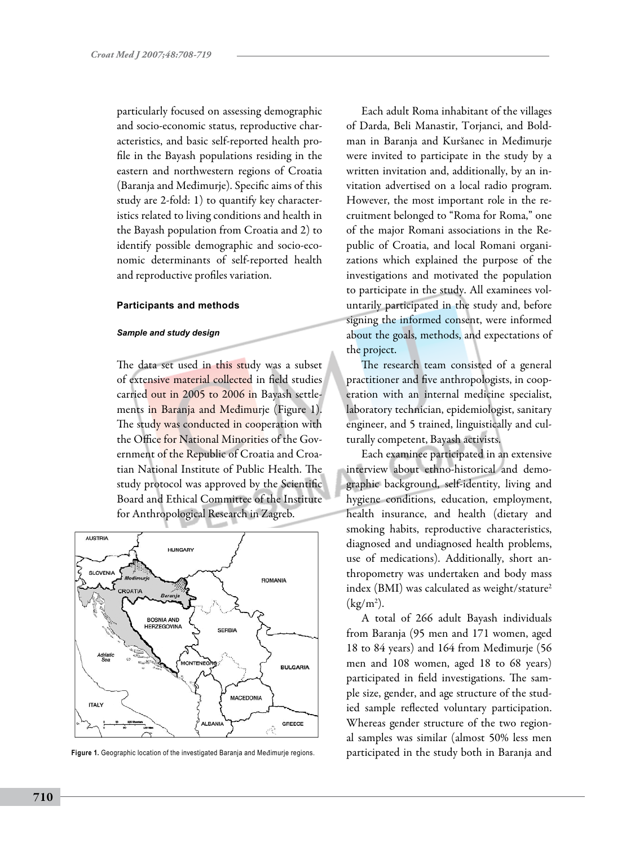particularly focused on assessing demographic and socio-economic status, reproductive characteristics, and basic self-reported health profile in the Bayash populations residing in the eastern and northwestern regions of Croatia (Baranja and Međimurje). Specific aims of this study are 2-fold: 1) to quantify key characteristics related to living conditions and health in the Bayash population from Croatia and 2) to identify possible demographic and socio-economic determinants of self-reported health and reproductive profiles variation.

### **Participants and methods**

#### *Sample and study design*

The data set used in this study was a subset of extensive material collected in field studies carried out in 2005 to 2006 in Bayash settlements in Baranja and Međimurje (Figure 1). The study was conducted in cooperation with the Office for National Minorities of the Government of the Republic of Croatia and Croatian National Institute of Public Health. The study protocol was approved by the Scientific Board and Ethical Committee of the Institute for Anthropological Research in Zagreb.



**Figure 1.** Geographic location of the investigated Baranja and Međimurje regions. participated in the study both in Baranja and

Each adult Roma inhabitant of the villages of Darda, Beli Manastir, Torjanci, and Boldman in Baranja and Kuršanec in Međimurje were invited to participate in the study by a written invitation and, additionally, by an invitation advertised on a local radio program. However, the most important role in the recruitment belonged to "Roma for Roma," one of the major Romani associations in the Republic of Croatia, and local Romani organizations which explained the purpose of the investigations and motivated the population to participate in the study. All examinees voluntarily participated in the study and, before signing the informed consent, were informed about the goals, methods, and expectations of the project.

The research team consisted of a general practitioner and five anthropologists, in cooperation with an internal medicine specialist, laboratory technician, epidemiologist, sanitary engineer, and 5 trained, linguistically and culturally competent, Bayash activists.

Each examinee participated in an extensive interview about ethno-historical and demographic background, self-identity, living and hygiene conditions, education, employment, health insurance, and health (dietary and smoking habits, reproductive characteristics, diagnosed and undiagnosed health problems, use of medications). Additionally, short anthropometry was undertaken and body mass index (BMI) was calculated as weight/stature<sup>2</sup>  $(kg/m<sup>2</sup>)$ .

A total of 266 adult Bayash individuals from Baranja (95 men and 171 women, aged 18 to 84 years) and 164 from Međimurje (56 men and 108 women, aged 18 to 68 years) participated in field investigations. The sample size, gender, and age structure of the studied sample reflected voluntary participation. Whereas gender structure of the two regional samples was similar (almost 50% less men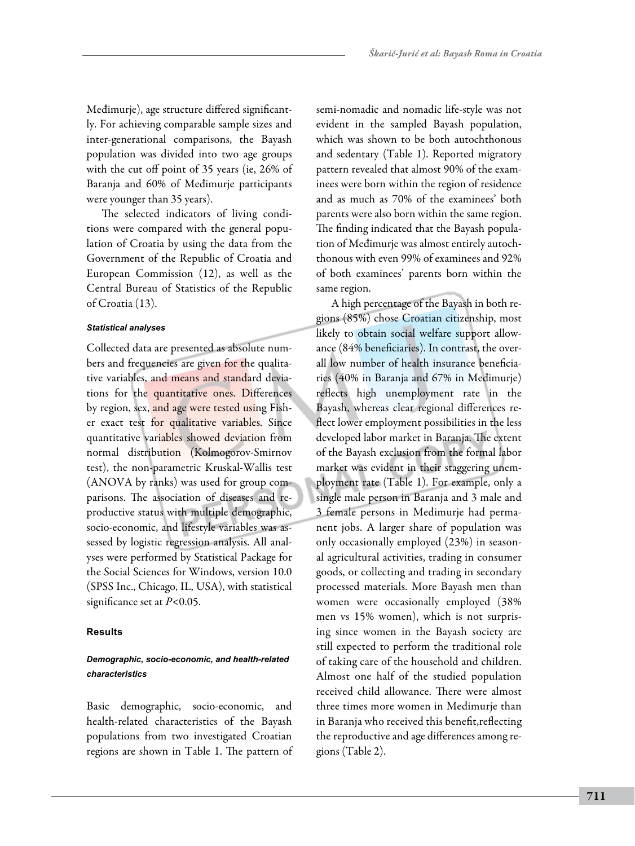Međimurje), age structure differed significantly. For achieving comparable sample sizes and inter-generational comparisons, the Bayash population was divided into two age groups with the cut off point of 35 years (ie, 26% of Baranja and 60% of Međimurje participants were younger than 35 years).

The selected indicators of living conditions were compared with the general population of Croatia by using the data from the Government of the Republic of Croatia and European Commission (12), as well as the Central Bureau of Statistics of the Republic of Croatia (13).

### *Statistical analyses*

Collected data are presented as absolute numbers and frequencies are given for the qualitative variables, and means and standard deviations for the quantitative ones. Differences by region, sex, and age were tested using Fisher exact test for qualitative variables. Since quantitative variables showed deviation from normal distribution (Kolmogorov-Smirnov test), the non-parametric Kruskal-Wallis test (ANOVA by ranks) was used for group comparisons. The association of diseases and reproductive status with multiple demographic, socio-economic, and lifestyle variables was assessed by logistic regression analysis. All analyses were performed by Statistical Package for the Social Sciences for Windows, version 10.0 (SPSS Inc., Chicago, IL, USA), with statistical significance set at *P*<0.05.

### **Results**

### *Demographic, socio-economic, and health-related characteristics*

Basic demographic, socio-economic, and health-related characteristics of the Bayash populations from two investigated Croatian regions are shown in Table 1. The pattern of semi-nomadic and nomadic life-style was not evident in the sampled Bayash population, which was shown to be both autochthonous and sedentary (Table 1). Reported migratory pattern revealed that almost 90% of the examinees were born within the region of residence and as much as 70% of the examinees' both parents were also born within the same region. The finding indicated that the Bayash population of Međimurje was almost entirely autochthonous with even 99% of examinees and 92% of both examinees' parents born within the same region.

A high percentage of the Bayash in both regions (85%) chose Croatian citizenship, most likely to obtain social welfare support allowance (84% beneficiaries). In contrast, the overall low number of health insurance beneficiaries (40% in Baranja and 67% in Međimurje) reflects high unemployment rate in the Bayash, whereas clear regional differences reflect lower employment possibilities in the less developed labor market in Baranja. The extent of the Bayash exclusion from the formal labor market was evident in their staggering unemployment rate (Table 1). For example, only a single male person in Baranja and 3 male and 3 female persons in Međimurje had permanent jobs. A larger share of population was only occasionally employed (23%) in seasonal agricultural activities, trading in consumer goods, or collecting and trading in secondary processed materials. More Bayash men than women were occasionally employed (38% men vs 15% women), which is not surprising since women in the Bayash society are still expected to perform the traditional role of taking care of the household and children. Almost one half of the studied population received child allowance. There were almost three times more women in Međimurje than in Baranja who received this benefit,reflecting the reproductive and age differences among regions (Table 2).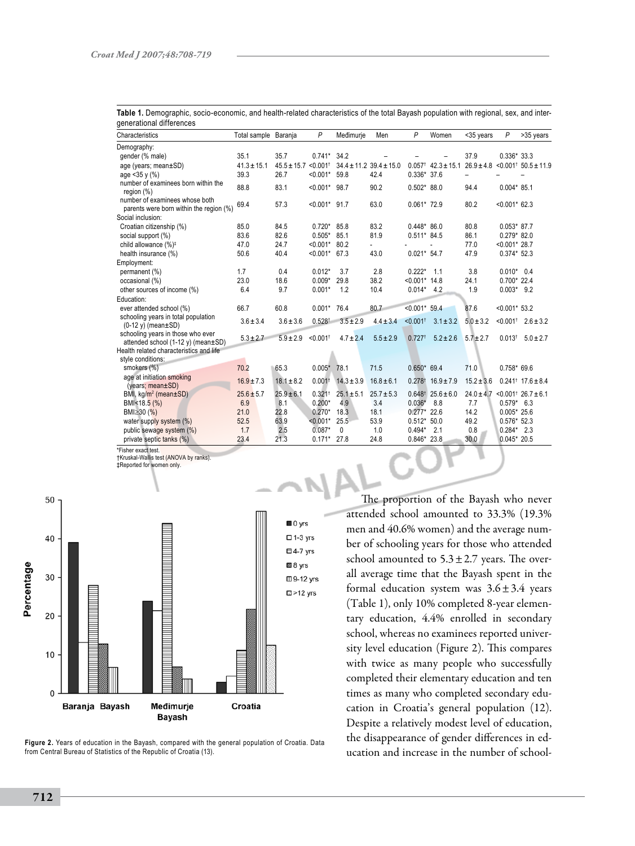| gunurununun umurunuud<br>Characteristics                                                                           | Total sample Baranja |                                      | P                      | Medimurje      | Men                             | P                      | Women                            | <35 years                                          | P                | >35 years                          |
|--------------------------------------------------------------------------------------------------------------------|----------------------|--------------------------------------|------------------------|----------------|---------------------------------|------------------------|----------------------------------|----------------------------------------------------|------------------|------------------------------------|
| Demography:                                                                                                        |                      |                                      |                        |                |                                 |                        |                                  |                                                    |                  |                                    |
| gender (% male)                                                                                                    | 35.1                 | 35.7                                 | $0.741*$               | 34.2           |                                 |                        |                                  | 37.9                                               | $0.336*33.3$     |                                    |
| age (years; mean±SD)                                                                                               | $41.3 \pm 15.1$      | $45.5 \pm 15.7$ < 0.001 <sup>t</sup> |                        |                | $34.4 \pm 11.2$ $39.4 \pm 15.0$ |                        | $0.057$ <sup>†</sup> 42.3 ± 15.1 | $26.9 \pm 4.8$                                     |                  | $< 0.001^{\dagger}$ 50.5 ± 11.9    |
| age $<$ 35 y (%)                                                                                                   | 39.3                 | 26.7                                 | $< 0.001$ * 59.8       |                | 42.4                            | $0.336*37.6$           |                                  | $\overline{\phantom{0}}$                           |                  |                                    |
| number of examinees born within the<br>region (%)                                                                  | 88.8                 | 83.1                                 | $< 0.001$ * 98.7       |                | 90.2                            | $0.502*88.0$           |                                  | 94.4                                               | $0.004*85.1$     |                                    |
| number of examinees whose both<br>parents were born within the region (%)                                          | 69.4                 | 57.3                                 | $< 0.001$ * 91.7       |                | 63.0                            | $0.061*72.9$           |                                  | 80.2                                               | $< 0.001$ * 62.3 |                                    |
| Social inclusion:                                                                                                  |                      |                                      |                        |                |                                 |                        |                                  |                                                    |                  |                                    |
| Croatian citizenship (%)                                                                                           | 85.0                 | 84.5                                 | $0.720*$               | 85.8           | 83.2                            | $0.448*86.0$           |                                  | 80.8                                               | $0.053*87.7$     |                                    |
| social support (%)                                                                                                 | 83.6                 | 82.6                                 | $0.505*$               | 85.1           | 81.9                            | $0.511* 84.5$          |                                  | 86.1                                               | $0.279*82.0$     |                                    |
| child allowance (%) <sup>‡</sup>                                                                                   | 47.0                 | 24.7                                 | $< 0.001$ * 80.2       |                |                                 |                        |                                  | 77.0                                               | $< 0.001$ * 28.7 |                                    |
| health insurance (%)                                                                                               | 50.6                 | 40.4                                 | $< 0.001$ * 67.3       |                | 43.0                            | $0.021* 54.7$          |                                  | 47.9                                               | $0.374*52.3$     |                                    |
| Employment:                                                                                                        |                      |                                      |                        |                |                                 |                        |                                  |                                                    |                  |                                    |
| permanent (%)                                                                                                      | 1.7                  | 0.4                                  | $0.012*$               | 3.7            | 2.8                             | $0.222*$               | 1.1                              | 3.8                                                | $0.010*0.4$      |                                    |
| occasional (%)                                                                                                     | 23.0                 | 18.6                                 | $0.009*$               | 29.8           | 38.2                            | $< 0.001$ * 14.8       |                                  | 24.1                                               | $0.700*22.4$     |                                    |
| other sources of income (%)                                                                                        | 6.4                  | 9.7                                  | $0.001*$               | 1.2            | 10.4                            | $0.014*$               | 4.2                              | 1.9                                                | $0.003*$ 9.2     |                                    |
| Education:                                                                                                         |                      |                                      |                        |                |                                 |                        |                                  |                                                    |                  |                                    |
| ever attended school (%)                                                                                           | 66.7                 | 60.8                                 | $0.001*$               | 76.4           | 80.7                            | $< 0.001$ * 59.4       |                                  | 87.6                                               | $< 0.001$ * 53.2 |                                    |
| schooling years in total population<br>$(0-12 y)$ (mean $\pm$ SD)                                                  | $3.6 \pm 3.4$        | $3.6 \pm 3.6$                        | $0.528$ <sup>t</sup>   | $3.5 \pm 2.9$  | $4.4 \pm 3.4$                   | $< 0.001$ <sup>+</sup> | $3.1 \pm 3.2$                    | $5.0 \pm 3.2$                                      |                  | $< 0.001^{\dagger}$ 2.6 ± 3.2      |
| schooling years in those who ever<br>attended school (1-12 y) (mean±SD)<br>Health related characteristics and life | $5.3 \pm 2.7$        | $5.9 \pm 2.9$                        | $< 0.001$ <sup>t</sup> | $4.7 \pm 2.4$  | $5.5 \pm 2.9$                   | $0.727$ <sup>t</sup>   | $5.2 \pm 2.6$                    | $5.7 \pm 2.7$                                      |                  | $0.013$ <sup>†</sup> $5.0 \pm 2.7$ |
| style conditions:                                                                                                  |                      |                                      |                        |                |                                 |                        |                                  |                                                    |                  |                                    |
| smokers (%)                                                                                                        | 70.2                 | 65.3                                 | $0.005*$ 78.1          |                | 71.5                            | $0.650* 69.4$          |                                  | 71.0                                               | $0.758*69.6$     |                                    |
| age at initiation smoking<br>(years; mean ± SD)                                                                    | $16.9 \pm 7.3$       | $18.1 \pm 8.2$                       | $0.001$ <sup>t</sup>   | $14.3 \pm 3.9$ | $16.8 \pm 6.1$                  |                        | $0.278$ <sup>†</sup> 16.9 ± 7.9  | $15.2 \pm 3.6$                                     |                  | $0.241$ <sup>†</sup> 17.6 ± 8.4    |
| BMI, kg/m <sup>2</sup> (mean±SD)                                                                                   | $25.6 \pm 5.7$       | $25.9 \pm 6.1$                       | $0.321$ <sup>t</sup>   | $25.1 \pm 5.1$ | $25.7 \pm 5.3$                  |                        | $0.648$ <sup>†</sup> 25.6 ± 6.0  | $24.0 \pm 4.7$ < 0.001 <sup>t</sup> 26.7 $\pm$ 6.1 |                  |                                    |
| BMI<18.5 (%)                                                                                                       | 6.9                  | 8.1                                  | $0.200*$               | 4.9            | 3.4                             | $0.036*$               | 8.8                              | 7.7                                                | $0.579*$ 6.3     |                                    |
| BMI≥30 (%)                                                                                                         | 21.0                 | 22.8                                 | $0.270*$               | 18.3           | 18.1                            | $0.277*22.6$           |                                  | 14.2                                               | $0.005*25.6$     |                                    |
| water supply system (%)                                                                                            | 52.5                 | 63.9                                 | $< 0.001*$             | 25.5           | 53.9                            | $0.512*50.0$           |                                  | 49.2                                               | $0.576*52.3$     |                                    |
| public sewage system (%)                                                                                           | 1.7                  | 2.5                                  | $0.087*$               | 0              | 1.0                             | $0.494*$               | 2.1                              | 0.8                                                | $0.284*$ 2.3     |                                    |
| private septic tanks (%)                                                                                           | 23.4                 | 21.3                                 | $0.171*$ 27.8          |                | 24.8                            | $0.846*23.8$           |                                  | 30.0                                               | $0.045*20.5$     |                                    |

**Table 1.** Demographic, socio-economic, and health-related characteristics of the total Bayash population with regional, sex, and intergenerational differences

\*Fisher exact test.

†Kruskal-Wallis test (ANOVA by ranks).

‡Reported for women only.



**Figure 2.** Years of education in the Bayash, compared with the general population of Croatia. Data from Central Bureau of Statistics of the Republic of Croatia (13).

The proportion of the Bayash who never attended school amounted to 33.3% (19.3% men and 40.6% women) and the average number of schooling years for those who attended school amounted to  $5.3 \pm 2.7$  years. The overall average time that the Bayash spent in the formal education system was  $3.6 \pm 3.4$  years (Table 1), only 10% completed 8-year elementary education, 4.4% enrolled in secondary school, whereas no examinees reported university level education (Figure 2). This compares with twice as many people who successfully completed their elementary education and ten times as many who completed secondary education in Croatia's general population (12). Despite a relatively modest level of education, the disappearance of gender differences in education and increase in the number of school-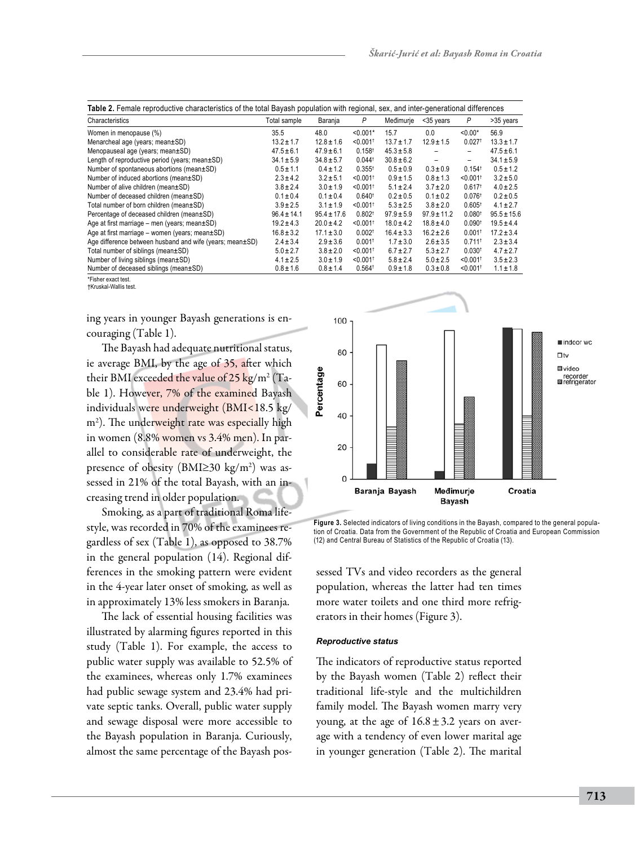| Characteristics                                          | Total sample    | Baranja         | P                      | Medimurie      | <35 years                | P                      | >35 years       |
|----------------------------------------------------------|-----------------|-----------------|------------------------|----------------|--------------------------|------------------------|-----------------|
| Women in menopause (%)                                   | 35.5            | 48.0            | $< 0.001*$             | 15.7           | 0.0                      | $< 0.00*$              | 56.9            |
| Menarcheal age (years; mean±SD)                          | $13.2 \pm 1.7$  | $12.8 \pm 1.6$  | $< 0.001$ <sup>+</sup> | $13.7 \pm 1.7$ | $12.9 \pm 1.5$           | $0.027$ <sup>+</sup>   | $13.3 \pm 1.7$  |
| Menopauseal age (years; mean±SD)                         | $47.5 \pm 6.1$  | $47.9 \pm 6.1$  | $0.158$ <sup>t</sup>   | $45.3 \pm 5.8$ | -                        | Ξ.                     | $47.5 \pm 6.1$  |
| Length of reproductive period (years; mean±SD)           | $34.1 \pm 5.9$  | $34.8 \pm 5.7$  | $0.044$ <sup>t</sup>   | $30.8 \pm 6.2$ | $\overline{\phantom{0}}$ | -                      | $34.1 \pm 5.9$  |
| Number of spontaneous abortions (mean±SD)                | $0.5 \pm 1.1$   | $0.4 \pm 1.2$   | $0.355^{+}$            | $0.5 \pm 0.9$  | $0.3 \pm 0.9$            | $0.154$ <sup>t</sup>   | $0.5 \pm 1.2$   |
| Number of induced abortions (mean±SD)                    | $2.3 \pm 4.2$   | $3.2 \pm 5.1$   | $< 0.001$ <sup>t</sup> | $0.9 \pm 1.5$  | $0.8 \pm 1.3$            | $< 0.001$ <sup>t</sup> | $3.2 \pm 5.0$   |
| Number of alive children (mean±SD)                       | $3.8 \pm 2.4$   | $3.0 \pm 1.9$   | $< 0.001$ <sup>+</sup> | $5.1 \pm 2.4$  | $3.7 \pm 2.0$            | $0.617$ <sup>t</sup>   | $4.0 \pm 2.5$   |
| Number of deceased children (mean±SD)                    | $0.1 \pm 0.4$   | $0.1 \pm 0.4$   | 0.640 <sup>†</sup>     | $0.2 \pm 0.5$  | $0.1 \pm 0.2$            | $0.076$ <sup>t</sup>   | $0.2 \pm 0.5$   |
| Total number of born children (mean±SD)                  | $3.9 \pm 2.5$   | $3.1 \pm 1.9$   | $< 0.001$ <sup>t</sup> | $5.3 \pm 2.5$  | $3.8 \pm 2.0$            | $0.605^{\dagger}$      | $4.1 \pm 2.7$   |
| Percentage of deceased children (mean±SD)                | $96.4 \pm 14.1$ | $95.4 \pm 17.6$ | $0.802$ <sup>t</sup>   | $97.9 \pm 5.9$ | $97.9 \pm 11.2$          | 0.080 <sup>†</sup>     | $95.5 \pm 15.6$ |
| Age at first marriage - men (years; mean±SD)             | $19.2 \pm 4.3$  | $20.0 \pm 4.2$  | $< 0.001$ <sup>t</sup> | $18.0 \pm 4.2$ | $18.8 \pm 4.0$           | 0.090 <sup>†</sup>     | $19.5 \pm 4.4$  |
| Age at first marriage - women (years; mean±SD)           | $16.8 \pm 3.2$  | $17.1 \pm 3.0$  | $0.002^+$              | $16.4 \pm 3.3$ | $16.2 \pm 2.6$           | $0.001$ <sup>t</sup>   | $17.2 \pm 3.4$  |
| Age difference between husband and wife (years; mean±SD) | $2.4 \pm 3.4$   | $2.9 \pm 3.6$   | $0.001$ <sup>t</sup>   | $1.7 \pm 3.0$  | $2.6 \pm 3.5$            | $0.711$ <sup>t</sup>   | $2.3 \pm 3.4$   |
| Total number of siblings (mean±SD)                       | $5.0 \pm 2.7$   | $3.8 \pm 2.0$   | $< 0.001$ <sup>t</sup> | $6.7 \pm 2.7$  | $5.3 \pm 2.7$            | 0.030 <sup>†</sup>     | $4.7 \pm 2.7$   |
| Number of living siblings (mean±SD)                      | $4.1 \pm 2.5$   | $3.0 \pm 1.9$   | $< 0.001$ <sup>t</sup> | $5.8 \pm 2.4$  | $5.0 \pm 2.5$            | $< 0.001$ <sup>t</sup> | $3.5 \pm 2.3$   |
| Number of deceased siblings (mean±SD)                    | $0.8 \pm 1.6$   | $0.8 \pm 1.4$   | $0.564$ <sup>t</sup>   | $0.9 \pm 1.8$  | $0.3 \pm 0.8$            | $< 0.001$ <sup>t</sup> | $1.1 \pm 1.8$   |

\*Fisher exact test. †Kruskal-Wallis test.

ing years in younger Bayash generations is encouraging (Table 1).

The Bayash had adequate nutritional status, ie average BMI, by the age of 35, after which their BMI exceeded the value of 25 kg/m² (Table 1). However, 7% of the examined Bayash individuals were underweight (BMI<18.5 kg/ m2 ). The underweight rate was especially high in women (8.8% women vs 3.4% men). In parallel to considerable rate of underweight, the presence of obesity (BMI≥30 kg/m<sup>2</sup>) was assessed in 21% of the total Bayash, with an increasing trend in older population.

Smoking, as a part of traditional Roma lifestyle, was recorded in 70% of the examinees regardless of sex (Table 1), as opposed to 38.7% in the general population (14). Regional differences in the smoking pattern were evident in the 4-year later onset of smoking, as well as in approximately 13% less smokers in Baranja.

The lack of essential housing facilities was illustrated by alarming figures reported in this study (Table 1). For example, the access to public water supply was available to 52.5% of the examinees, whereas only 1.7% examinees had public sewage system and 23.4% had private septic tanks. Overall, public water supply and sewage disposal were more accessible to the Bayash population in Baranja. Curiously, almost the same percentage of the Bayash pos-



**Figure 3.** Selected indicators of living conditions in the Bayash, compared to the general population of Croatia. Data from the Government of the Republic of Croatia and European Commission (12) and Central Bureau of Statistics of the Republic of Croatia (13).

sessed TVs and video recorders as the general population, whereas the latter had ten times more water toilets and one third more refrigerators in their homes (Figure 3).

#### *Reproductive status*

The indicators of reproductive status reported by the Bayash women (Table 2) reflect their traditional life-style and the multichildren family model. The Bayash women marry very young, at the age of  $16.8 \pm 3.2$  years on average with a tendency of even lower marital age in younger generation (Table 2). The marital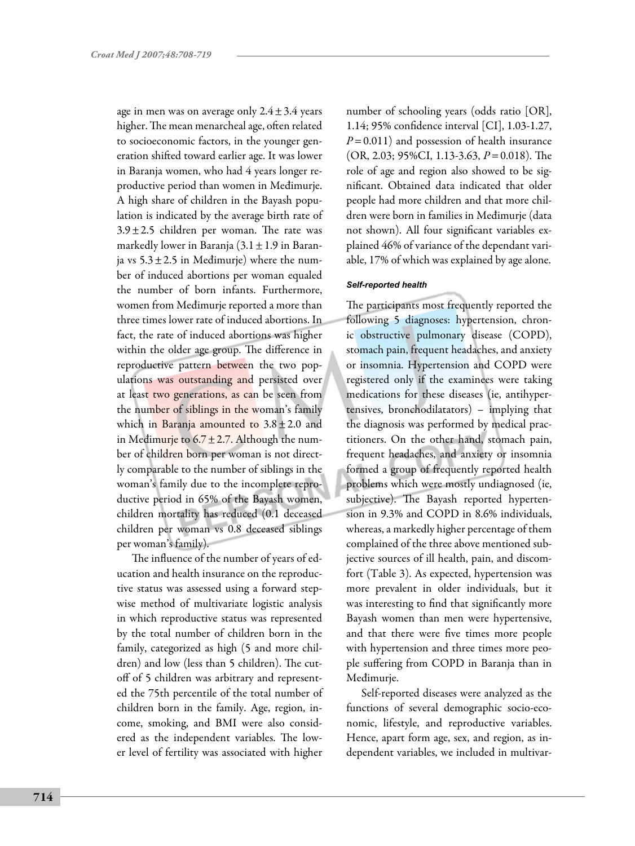age in men was on average only  $2.4 \pm 3.4$  years higher. The mean menarcheal age, often related to socioeconomic factors, in the younger generation shifted toward earlier age. It was lower in Baranja women, who had 4 years longer reproductive period than women in Međimurje. A high share of children in the Bayash population is indicated by the average birth rate of  $3.9 \pm 2.5$  children per woman. The rate was markedly lower in Baranja  $(3.1 \pm 1.9)$  in Baranja vs  $5.3 \pm 2.5$  in Medimurje) where the number of induced abortions per woman equaled the number of born infants. Furthermore, women from Međimurje reported a more than three times lower rate of induced abortions. In fact, the rate of induced abortions was higher within the older age group. The difference in reproductive pattern between the two populations was outstanding and persisted over at least two generations, as can be seen from the number of siblings in the woman's family which in Baranja amounted to  $3.8 \pm 2.0$  and in Međimurje to  $6.7 \pm 2.7$ . Although the number of children born per woman is not directly comparable to the number of siblings in the woman's family due to the incomplete reproductive period in 65% of the Bayash women, children mortality has reduced (0.1 deceased children per woman vs 0.8 deceased siblings per woman's family).

The influence of the number of years of education and health insurance on the reproductive status was assessed using a forward stepwise method of multivariate logistic analysis in which reproductive status was represented by the total number of children born in the family, categorized as high (5 and more children) and low (less than 5 children). The cutoff of 5 children was arbitrary and represented the 75th percentile of the total number of children born in the family. Age, region, income, smoking, and BMI were also considered as the independent variables. The lower level of fertility was associated with higher

number of schooling years (odds ratio [OR], 1.14; 95% confidence interval [CI], 1.03-1.27,  $P=0.011$ ) and possession of health insurance (OR, 2.03; 95%CI, 1.13-3.63, *P*=0.018). The role of age and region also showed to be significant. Obtained data indicated that older people had more children and that more children were born in families in Međimurje (data not shown). All four significant variables explained 46% of variance of the dependant variable, 17% of which was explained by age alone.

#### *Self-reported health*

The participants most frequently reported the following 5 diagnoses: hypertension, chronic obstructive pulmonary disease (COPD), stomach pain, frequent headaches, and anxiety or insomnia. Hypertension and COPD were registered only if the examinees were taking medications for these diseases (ie, antihypertensives, bronchodilatators) – implying that the diagnosis was performed by medical practitioners. On the other hand, stomach pain, frequent headaches, and anxiety or insomnia formed a group of frequently reported health problems which were mostly undiagnosed (ie, subjective). The Bayash reported hypertension in 9.3% and COPD in 8.6% individuals, whereas, a markedly higher percentage of them complained of the three above mentioned subjective sources of ill health, pain, and discomfort (Table 3). As expected, hypertension was more prevalent in older individuals, but it was interesting to find that significantly more Bayash women than men were hypertensive, and that there were five times more people with hypertension and three times more people suffering from COPD in Baranja than in Međimurje.

Self-reported diseases were analyzed as the functions of several demographic socio-economic, lifestyle, and reproductive variables. Hence, apart form age, sex, and region, as independent variables, we included in multivar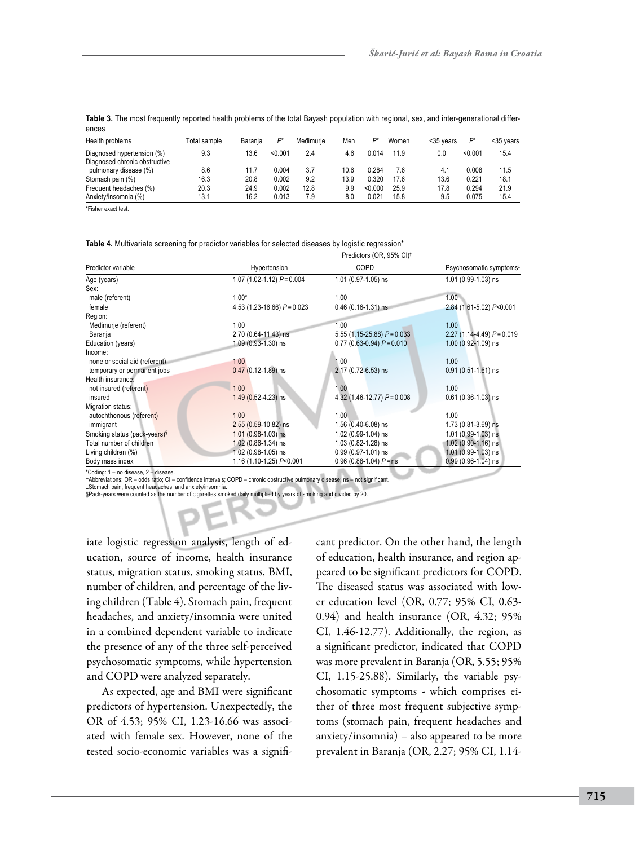**Table 3.** The most frequently reported health problems of the total Bayash population with regional, sex, and inter-generational differences

| Health problems                                        | Total sample | Barania      | D*             | Međimurie   | Men        | Þ*               | Women        | <35 years   | Þ*             | <35 years    |
|--------------------------------------------------------|--------------|--------------|----------------|-------------|------------|------------------|--------------|-------------|----------------|--------------|
| Diagnosed hypertension (%)                             | 9.3          | 13.6         | < 0.001        | 2.4         | 4.6        | 0.014            | 11.9         | 0.0         | < 0.001        | 15.4         |
| Diagnosed chronic obstructive<br>pulmonary disease (%) | 8.6          | 11.7         | 0.004          | 3.7         | 10.6       | 0.284            | 7.6          | 4.1         | 0.008          | 11.5         |
| Stomach pain (%)                                       | 16.3         | 20.8         | 0.002          | 9.2         | 13.9       | 0.320            | 17.6         | 13.6        | 0.221          | 18.1         |
| Frequent headaches (%)<br>Anxiety/insomnia (%)         | 20.3<br>13.1 | 24.9<br>16.2 | 0.002<br>0.013 | 12.8<br>7.9 | 9.9<br>8.0 | < 0.000<br>0.021 | 25.9<br>15.8 | 17.8<br>9.5 | 0.294<br>0.075 | 21.9<br>15.4 |

\*Fisher exact test.

| Predictor variable                       | Predictors (OR, 95% CI) <sup>†</sup> |                                |                                     |  |  |  |  |  |  |
|------------------------------------------|--------------------------------------|--------------------------------|-------------------------------------|--|--|--|--|--|--|
|                                          | Hypertension                         | COPD                           | Psychosomatic symptoms <sup>#</sup> |  |  |  |  |  |  |
| Age (years)                              | 1.07 (1.02-1.12) $P = 0.004$         | 1.01 (0.97-1.05) ns            | 1.01 (0.99-1.03) ns                 |  |  |  |  |  |  |
| Sex:                                     |                                      |                                |                                     |  |  |  |  |  |  |
| male (referent)                          | $1.00*$                              | 1.00                           | 1.00                                |  |  |  |  |  |  |
| female                                   | 4.53 (1.23-16.66) $P = 0.023$        | $0.46(0.16-1.31)$ ns           | 2.84 (1.61-5.02) P<0.001            |  |  |  |  |  |  |
| Region:                                  |                                      |                                |                                     |  |  |  |  |  |  |
| Međimurje (referent)                     | 1.00                                 | 1.00                           | 1.00                                |  |  |  |  |  |  |
| Baranja                                  | 2.70 (0.64-11.43) ns                 | $5.55(1.15-25.88) P = 0.033$   | $2.27(1.14-4.49) P = 0.019$         |  |  |  |  |  |  |
| Education (years)                        | 1.09 (0.93-1.30) ns                  | $0.77$ (0.63-0.94) $P = 0.010$ | 1.00 (0.92-1.09) ns                 |  |  |  |  |  |  |
| Income:                                  |                                      |                                |                                     |  |  |  |  |  |  |
| none or social aid (referent)            | 1.00                                 | 1.00                           | 1.00                                |  |  |  |  |  |  |
| temporary or permanent jobs              | $0.47(0.12 - 1.89)$ ns               | 2.17 (0.72-6.53) ns            | $0.91(0.51-1.61)$ ns                |  |  |  |  |  |  |
| Health insurance:                        |                                      |                                |                                     |  |  |  |  |  |  |
| not insured (referent)                   | 1.00                                 | 1.00                           | 1.00                                |  |  |  |  |  |  |
| insured                                  | 1.49 (0.52-4.23) ns                  | 4.32 (1.46-12.77) $P = 0.008$  | $0.61(0.36-1.03)$ ns                |  |  |  |  |  |  |
| Migration status:                        |                                      |                                |                                     |  |  |  |  |  |  |
| autochthonous (referent)                 | 1.00                                 | 1.00                           | 1.00                                |  |  |  |  |  |  |
| immigrant                                | 2.55 (0.59-10.82) ns                 | $1.56(0.40-6.08)$ ns           | 1.73 (0.81-3.69) ns                 |  |  |  |  |  |  |
| Smoking status (pack-years) <sup>§</sup> | $1.01$ (0.98-1.03) ns                | 1.02 (0.99-1.04) ns            | 1.01 (0.99-1.03) ns                 |  |  |  |  |  |  |
| Total number of children                 | 1.02 (0.86-1.34) ns                  | 1.03 (0.82-1.28) ns            | $1.02(0.90-1.16)$ ns                |  |  |  |  |  |  |
| Living children (%)                      | 1.02 (0.98-1.05) ns                  | $0.99(0.97-1.01)$ ns           | 1.01 (0.99-1.03) ns                 |  |  |  |  |  |  |
| Body mass index                          | 1.16 (1.10-1.25) P<0.001             | $0.96$ (0.88-1.04) $P =$ ns    | $0.99(0.96-1.04)$ ns                |  |  |  |  |  |  |

\*Coding: 1 – no disease, 2 – disease.

†Abbreviations: OR – odds ratio; CI – confidence intervals; COPD – chronic obstructive pulmonary disease; ns – not significant.

‡Stomach pain, frequent headaches, and anxiety/insomnia.

§Pack-years were counted as the number of cigarettes smoked daily multiplied by years of smoking and divided by 20.

iate logistic regression analysis, length of education, source of income, health insurance status, migration status, smoking status, BMI, number of children, and percentage of the living children (Table 4). Stomach pain, frequent headaches, and anxiety/insomnia were united in a combined dependent variable to indicate the presence of any of the three self-perceived psychosomatic symptoms, while hypertension and COPD were analyzed separately.

As expected, age and BMI were significant predictors of hypertension. Unexpectedly, the OR of 4.53; 95% CI, 1.23-16.66 was associated with female sex. However, none of the tested socio-economic variables was a significant predictor. On the other hand, the length of education, health insurance, and region appeared to be significant predictors for COPD. The diseased status was associated with lower education level (OR, 0.77; 95% CI, 0.63- 0.94) and health insurance (OR, 4.32; 95% CI, 1.46-12.77). Additionally, the region, as a significant predictor, indicated that COPD was more prevalent in Baranja (OR, 5.55; 95% CI, 1.15-25.88). Similarly, the variable psychosomatic symptoms - which comprises either of three most frequent subjective symptoms (stomach pain, frequent headaches and anxiety/insomnia) – also appeared to be more prevalent in Baranja (OR, 2.27; 95% CI, 1.14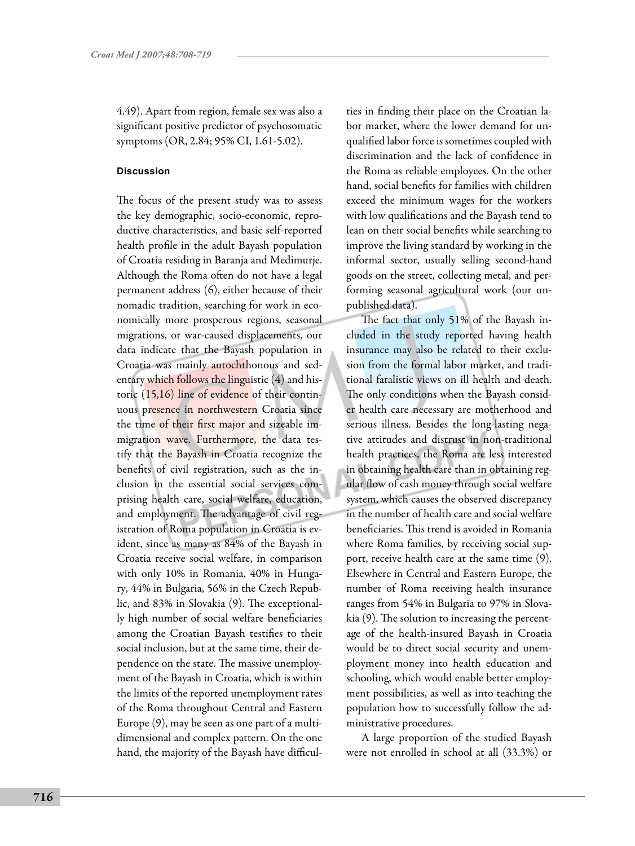4.49). Apart from region, female sex was also a significant positive predictor of psychosomatic symptoms (OR, 2.84; 95% CI, 1.61-5.02).

### **Discussion**

The focus of the present study was to assess the key demographic, socio-economic, reproductive characteristics, and basic self-reported health profile in the adult Bayash population of Croatia residing in Baranja and Međimurje. Although the Roma often do not have a legal permanent address (6), either because of their nomadic tradition, searching for work in economically more prosperous regions, seasonal migrations, or war-caused displacements, our data indicate that the Bayash population in Croatia was mainly autochthonous and sedentary which follows the linguistic (4) and historic (15,16) line of evidence of their continuous presence in northwestern Croatia since the time of their first major and sizeable immigration wave. Furthermore, the data testify that the Bayash in Croatia recognize the benefits of civil registration, such as the inclusion in the essential social services comprising health care, social welfare, education, and employment. The advantage of civil registration of Roma population in Croatia is evident, since as many as 84% of the Bayash in Croatia receive social welfare, in comparison with only 10% in Romania, 40% in Hungary, 44% in Bulgaria, 56% in the Czech Republic, and 83% in Slovakia (9). The exceptionally high number of social welfare beneficiaries among the Croatian Bayash testifies to their social inclusion, but at the same time, their dependence on the state. The massive unemployment of the Bayash in Croatia, which is within the limits of the reported unemployment rates of the Roma throughout Central and Eastern Europe (9), may be seen as one part of a multidimensional and complex pattern. On the one hand, the majority of the Bayash have difficul-

ties in finding their place on the Croatian labor market, where the lower demand for unqualified labor force is sometimes coupled with discrimination and the lack of confidence in the Roma as reliable employees. On the other hand, social benefits for families with children exceed the minimum wages for the workers with low qualifications and the Bayash tend to lean on their social benefits while searching to improve the living standard by working in the informal sector, usually selling second-hand goods on the street, collecting metal, and performing seasonal agricultural work (our unpublished data).

The fact that only 51% of the Bayash included in the study reported having health insurance may also be related to their exclusion from the formal labor market, and traditional fatalistic views on ill health and death. The only conditions when the Bayash consider health care necessary are motherhood and serious illness. Besides the long-lasting negative attitudes and distrust in non-traditional health practices, the Roma are less interested in obtaining health care than in obtaining regular flow of cash money through social welfare system, which causes the observed discrepancy in the number of health care and social welfare beneficiaries. This trend is avoided in Romania where Roma families, by receiving social support, receive health care at the same time (9). Elsewhere in Central and Eastern Europe, the number of Roma receiving health insurance ranges from 54% in Bulgaria to 97% in Slovakia (9). The solution to increasing the percentage of the health-insured Bayash in Croatia would be to direct social security and unemployment money into health education and schooling, which would enable better employment possibilities, as well as into teaching the population how to successfully follow the administrative procedures.

A large proportion of the studied Bayash were not enrolled in school at all (33.3%) or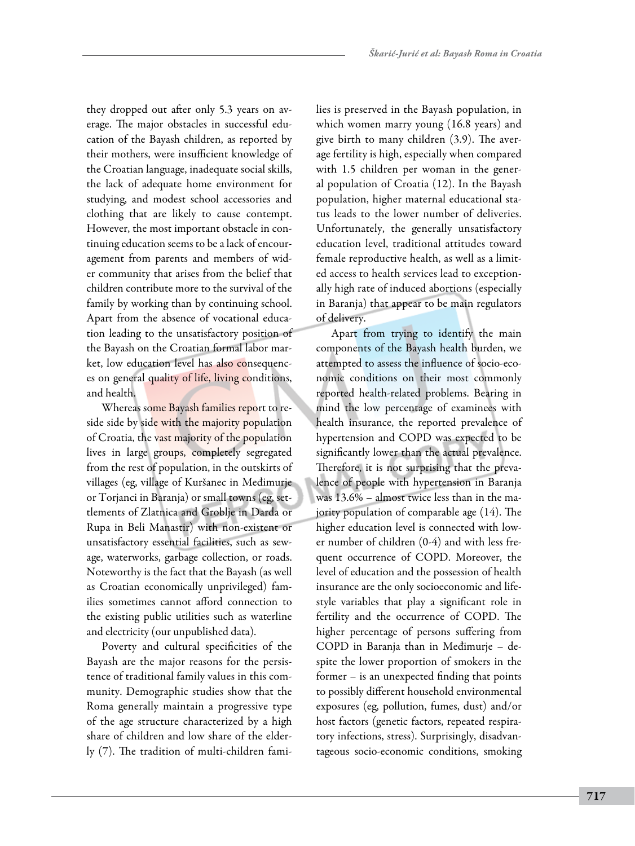they dropped out after only 5.3 years on average. The major obstacles in successful education of the Bayash children, as reported by their mothers, were insufficient knowledge of the Croatian language, inadequate social skills, the lack of adequate home environment for studying, and modest school accessories and clothing that are likely to cause contempt. However, the most important obstacle in continuing education seems to be a lack of encouragement from parents and members of wider community that arises from the belief that children contribute more to the survival of the family by working than by continuing school. Apart from the absence of vocational education leading to the unsatisfactory position of the Bayash on the Croatian formal labor market, low education level has also consequences on general quality of life, living conditions, and health.

Whereas some Bayash families report to reside side by side with the majority population of Croatia, the vast majority of the population lives in large groups, completely segregated from the rest of population, in the outskirts of villages (eg, village of Kuršanec in Međimurje or Torjanci in Baranja) or small towns (eg, settlements of Zlatnica and Groblje in Darda or Rupa in Beli Manastir) with non-existent or unsatisfactory essential facilities, such as sewage, waterworks, garbage collection, or roads. Noteworthy is the fact that the Bayash (as well as Croatian economically unprivileged) families sometimes cannot afford connection to the existing public utilities such as waterline and electricity (our unpublished data).

Poverty and cultural specificities of the Bayash are the major reasons for the persistence of traditional family values in this community. Demographic studies show that the Roma generally maintain a progressive type of the age structure characterized by a high share of children and low share of the elderly (7). The tradition of multi-children families is preserved in the Bayash population, in which women marry young (16.8 years) and give birth to many children (3.9). The average fertility is high, especially when compared with 1.5 children per woman in the general population of Croatia (12). In the Bayash population, higher maternal educational status leads to the lower number of deliveries. Unfortunately, the generally unsatisfactory education level, traditional attitudes toward female reproductive health, as well as a limited access to health services lead to exceptionally high rate of induced abortions (especially in Baranja) that appear to be main regulators of delivery.

Apart from trying to identify the main components of the Bayash health burden, we attempted to assess the influence of socio-economic conditions on their most commonly reported health-related problems. Bearing in mind the low percentage of examinees with health insurance, the reported prevalence of hypertension and COPD was expected to be significantly lower than the actual prevalence. Therefore, it is not surprising that the prevalence of people with hypertension in Baranja was 13.6% – almost twice less than in the majority population of comparable age (14). The higher education level is connected with lower number of children (0-4) and with less frequent occurrence of COPD. Moreover, the level of education and the possession of health insurance are the only socioeconomic and lifestyle variables that play a significant role in fertility and the occurrence of COPD. The higher percentage of persons suffering from COPD in Baranja than in Međimurje – despite the lower proportion of smokers in the former – is an unexpected finding that points to possibly different household environmental exposures (eg, pollution, fumes, dust) and/or host factors (genetic factors, repeated respiratory infections, stress). Surprisingly, disadvantageous socio-economic conditions, smoking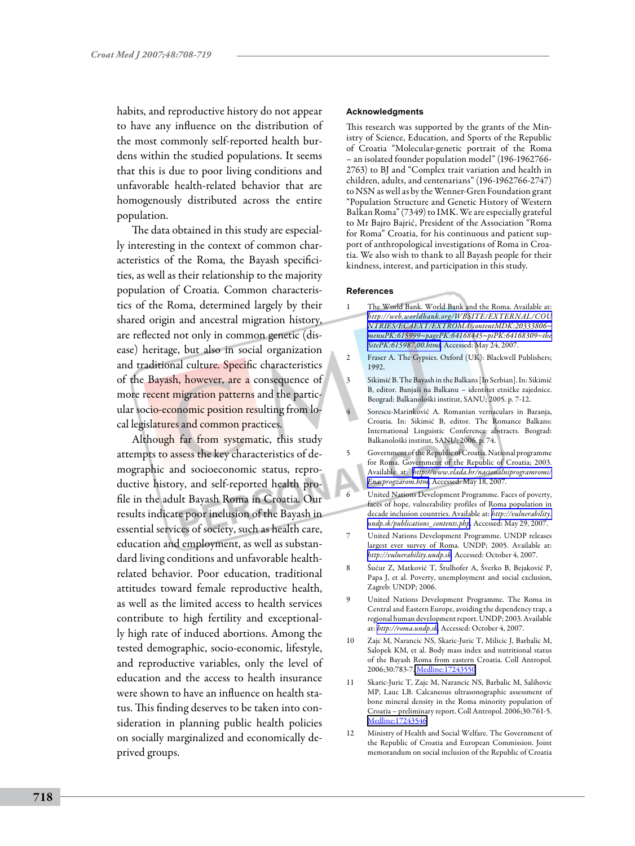habits, and reproductive history do not appear to have any influence on the distribution of the most commonly self-reported health burdens within the studied populations. It seems that this is due to poor living conditions and unfavorable health-related behavior that are homogenously distributed across the entire population.

The data obtained in this study are especially interesting in the context of common characteristics of the Roma, the Bayash specificities, as well as their relationship to the majority population of Croatia. Common characteristics of the Roma, determined largely by their shared origin and ancestral migration history, are reflected not only in common genetic (disease) heritage, but also in social organization and traditional culture. Specific characteristics of the Bayash, however, are a consequence of more recent migration patterns and the particular socio-economic position resulting from local legislatures and common practices.

Although far from systematic, this study attempts to assess the key characteristics of demographic and socioeconomic status, reproductive history, and self-reported health profile in the adult Bayash Roma in Croatia. Our results indicate poor inclusion of the Bayash in essential services of society, such as health care, education and employment, as well as substandard living conditions and unfavorable healthrelated behavior. Poor education, traditional attitudes toward female reproductive health, as well as the limited access to health services contribute to high fertility and exceptionally high rate of induced abortions. Among the tested demographic, socio-economic, lifestyle, and reproductive variables, only the level of education and the access to health insurance were shown to have an influence on health status. This finding deserves to be taken into consideration in planning public health policies on socially marginalized and economically deprived groups.

#### **Acknowledgments**

This research was supported by the grants of the Ministry of Science, Education, and Sports of the Republic of Croatia "Molecular-genetic portrait of the Roma – an isolated founder population model" (196-1962766- 2763) to BJ and "Complex trait variation and health in children, adults, and centenarians" (196-1962766-2747) to NSN as well as by the Wenner-Gren Foundation grant "Population Structure and Genetic History of Western Balkan Roma" (7349) to IMK. We are especially grateful to Mr Bajro Bajrić, President of the Association "Roma for Roma" Croatia, for his continuous and patient support of anthropological investigations of Roma in Croatia. We also wish to thank to all Bayash people for their kindness, interest, and participation in this study.

#### **References**

- 1 The World Bank. World Bank and the Roma. Available at: *[http://web.worldbank.org/WBSITE/EXTERNAL/COU](http://web.worldbank.org/WBSITE/EXTERNAL/COUNTRIES/ECAEXT/EXTROMA/0contentMDK:20333806~menuPK:615999~pagePK:64168445~piPK:64168309~theSitePK:615987,00.html)  [NTRIES/ECAEXT/EXTROMA/contentMDK:20333806~](http://web.worldbank.org/WBSITE/EXTERNAL/COUNTRIES/ECAEXT/EXTROMA/0contentMDK:20333806~menuPK:615999~pagePK:64168445~piPK:64168309~theSitePK:615987,00.html) [menuPK:615999~pagePK:64168445~piPK:64168309~the](http://web.worldbank.org/WBSITE/EXTERNAL/COUNTRIES/ECAEXT/EXTROMA/0contentMDK:20333806~menuPK:615999~pagePK:64168445~piPK:64168309~theSitePK:615987,00.html) [SitePK:615987,00.html](http://web.worldbank.org/WBSITE/EXTERNAL/COUNTRIES/ECAEXT/EXTROMA/0contentMDK:20333806~menuPK:615999~pagePK:64168445~piPK:64168309~theSitePK:615987,00.html)*. Accessed: May 24, 2007.
- 2 Fraser A. The Gypsies. Oxford (UK): Blackwell Publishers; 1992.
- 3 Sikimić B. The Bayash in the Balkans [In Serbian]. In: Sikimić B, editor. Banjaši na Balkanu – identitet etničke zajednice. Beograd: Balkanološki institut, SANU; 2005. p. 7-12.
- 4 Sorescu-Marinković A. Romanian vernaculars in Baranja, Croatia. In: Sikimić B, editor. The Romance Balkans: International Linguistic Conference abstracts. Beograd: Balkanološki institut, SANU; 2006. p. 74.
- 5 Government of the Republic of Croatia. National programme for Roma. Government of the Republic of Croatia; 2003. Available at: *[http://www.vlada.hr/nacionalniprogramromi/](http://www.vlada.hr/nacionalniprogramromi/Enacprogzarom.htm) [Enacprogzarom.htm](http://www.vlada.hr/nacionalniprogramromi/Enacprogzarom.htm)*. Accessed: May 18, 2007.
- 6 United Nations Development Programme. Faces of poverty, faces of hope, vulnerability profiles of Roma population in decade inclusion countries. Available at: *[http://vulnerability.](http://vulnerability.undp.sk/publications_contents.php) [undp.sk/publications\\_contents.php](http://vulnerability.undp.sk/publications_contents.php)*. Accessed: May 29, 2007.
- 7 United Nations Development Programme. UNDP releases largest ever survey of Roma. UNDP; 2005. Available at: *<http://vulnerability.undp.sk>.* Accessed: October 4, 2007.
- 8 Šućur Z, Matković T, Štulhofer A, Šverko B, Bejaković P, Papa J, et al. Poverty, unemployment and social exclusion, Zagreb: UNDP; 2006.
- 9 United Nations Development Programme. The Roma in Central and Eastern Europe, avoiding the dependency trap, a regional human development report. UNDP; 2003. Available at: *<http://roma.undp.sk>*. Accessed: October 4, 2007.
- Zajc M, Narancic NS, Skaric-Juric T, Milicic J, Barbalic M, Salopek KM, et al. Body mass index and nutritional status of the Bayash Roma from eastern Croatia. Coll Antropol. 2006;30:783-7[. Medline:17243550](http://www.ncbi.nlm.nih.gov/sites/entrez?cmd=Retrieve&db=PubMed&list_uids=17243550&dopt=Abstrac)
- 11 Skaric-Juric T, Zajc M, Narancic NS, Barbalic M, Salihovic MP, Lauc LB. Calcaneous ultrasonographic assessment of bone mineral density in the Roma minority population of Croatia – preliminary report. Coll Antropol. 2006;30:761-5. [Medline:17243546](http://www.ncbi.nlm.nih.gov/sites/entrez?cmd=Retrieve&db=PubMed&list_uids=17243546&dopt=Abstrac)
- 12 Ministry of Health and Social Welfare. The Government of the Republic of Croatia and European Commission. Joint memorandum on social inclusion of the Republic of Croatia